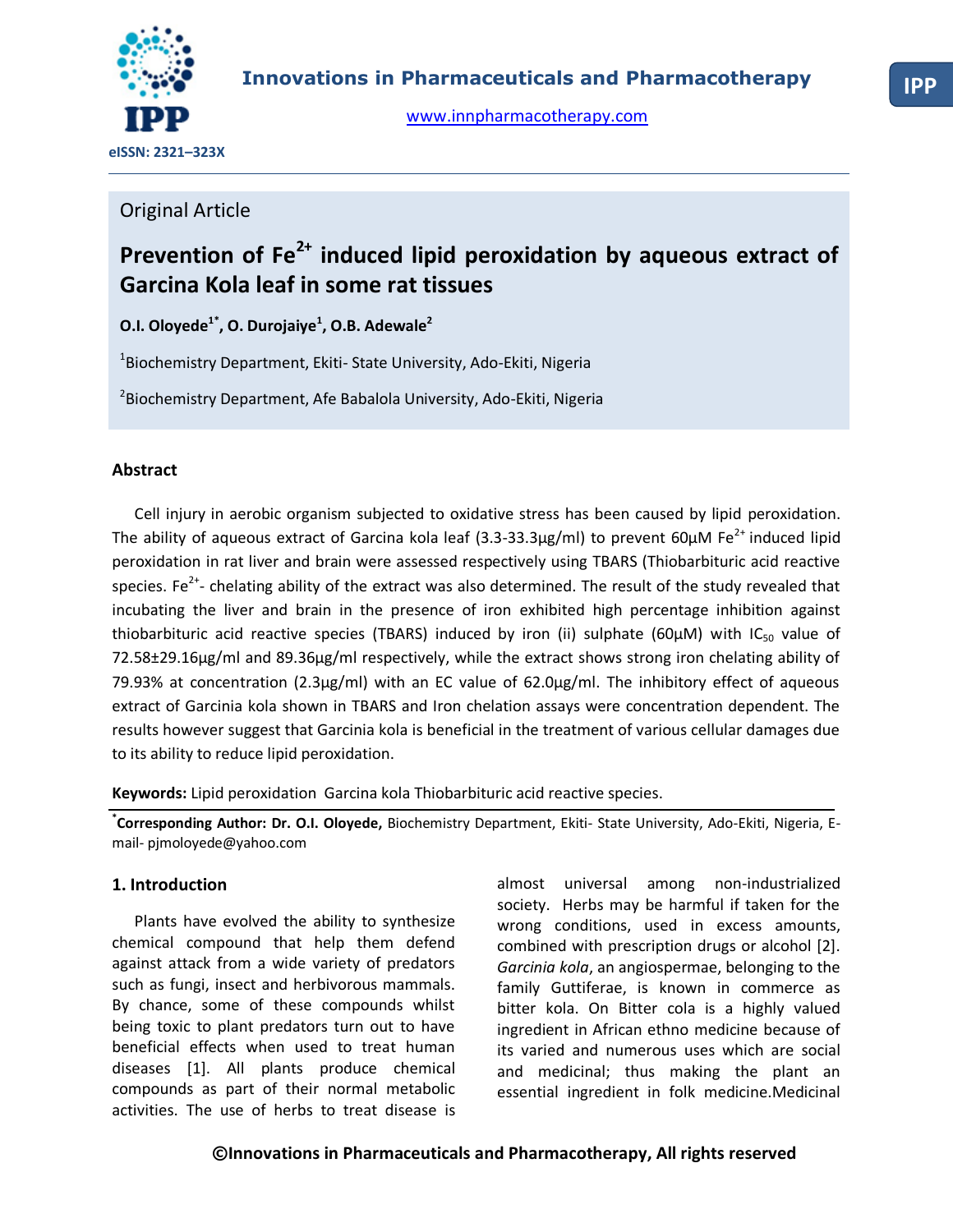

[www.innpharmacotherapy.com](http://www.innpharmacotherapy.com/)

# Original Article

# **Prevention of Fe2+ induced lipid peroxidation by aqueous extract of Garcina Kola leaf in some rat tissues**

**O.I. Oloyede1\*, O. Durojaiye<sup>1</sup> , O.B. Adewale<sup>2</sup>**

1 Biochemistry Department, Ekiti- State University, Ado-Ekiti, Nigeria

2 Biochemistry Department, Afe Babalola University, Ado-Ekiti, Nigeria

# **Abstract**

Cell injury in aerobic organism subjected to oxidative stress has been caused by lipid peroxidation. The ability of aqueous extract of Garcina kola leaf  $(3.3-33.3\mu g/ml)$  to prevent 60 $\mu$ M Fe<sup>2+</sup> induced lipid peroxidation in rat liver and brain were assessed respectively using TBARS (Thiobarbituric acid reactive species. Fe<sup>2+</sup>- chelating ability of the extract was also determined. The result of the study revealed that incubating the liver and brain in the presence of iron exhibited high percentage inhibition against thiobarbituric acid reactive species (TBARS) induced by iron (ii) sulphate (60 $\mu$ M) with IC<sub>50</sub> value of 72.58±29.16µg/ml and 89.36µg/ml respectively, while the extract shows strong iron chelating ability of 79.93% at concentration (2.3µg/ml) with an EC value of 62.0µg/ml. The inhibitory effect of aqueous extract of Garcinia kola shown in TBARS and Iron chelation assays were concentration dependent. The results however suggest that Garcinia kola is beneficial in the treatment of various cellular damages due to its ability to reduce lipid peroxidation.

**Keywords:** Lipid peroxidation Garcina kola Thiobarbituric acid reactive species.

**\* Corresponding Author: Dr. O.I. Oloyede,** Biochemistry Department, Ekiti- State University, Ado-Ekiti, Nigeria, Email- pjmoloyede@yahoo.com

# **1. Introduction**

Plants have evolved the ability to synthesize chemical compound that help them defend against attack from a wide variety of predators such as fungi, insect and herbivorous mammals. By chance, some of these compounds whilst being toxic to plant predators turn out to have beneficial effects when used to treat human diseases [1]. All plants produce chemical compounds as part of their normal metabolic activities. The use of herbs to treat disease is almost universal among non-industrialized society. Herbs may be harmful if taken for the wrong conditions, used in excess amounts, combined with prescription drugs or alcohol [2]. *Garcinia kola*, an angiospermae, belonging to the family Guttiferae, is known in commerce as bitter kola. On Bitter cola is a highly valued ingredient in African ethno medicine because of its varied and numerous uses which are social and medicinal; thus making the plant an essential ingredient in folk medicine.Medicinal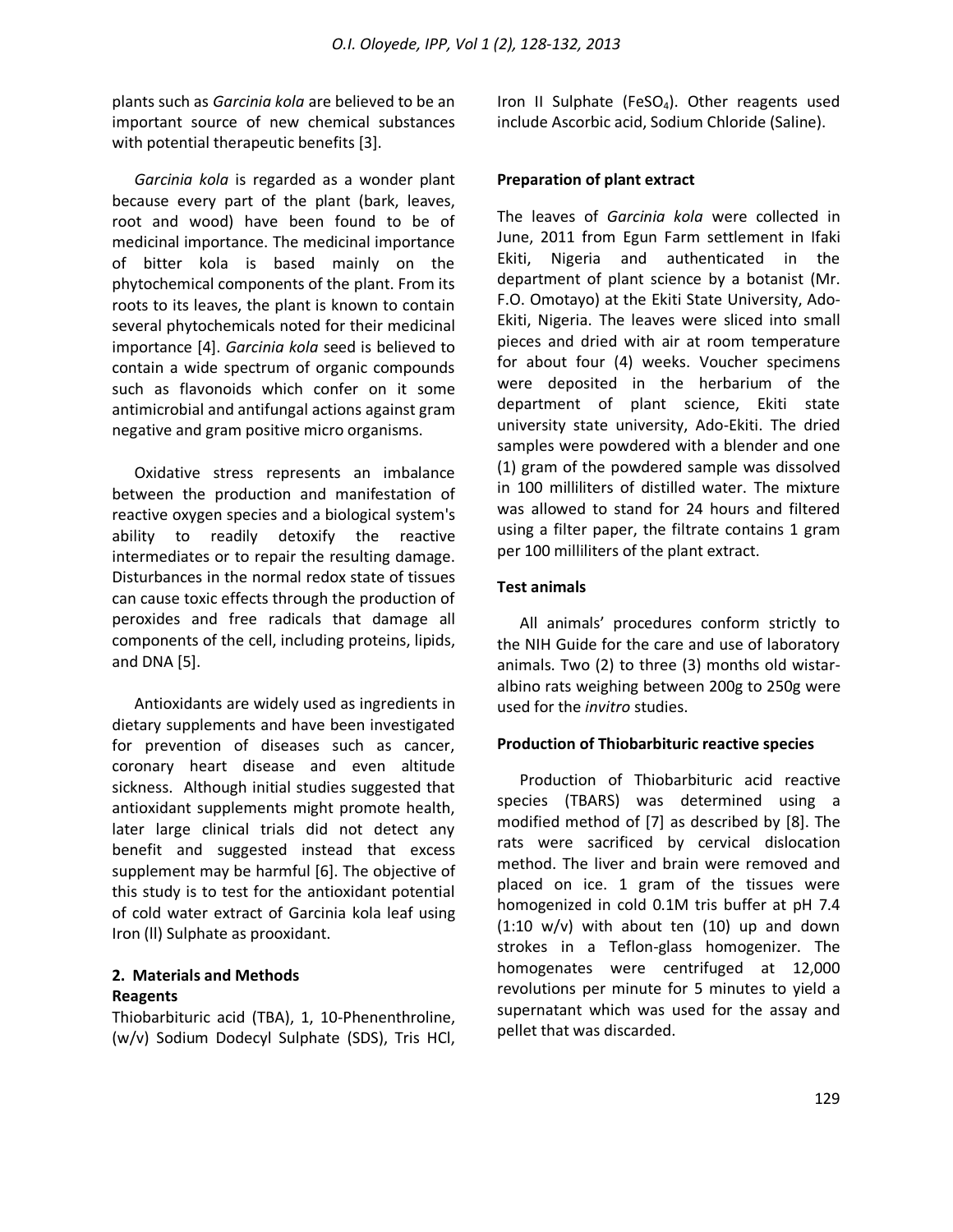plants such as *Garcinia kola* are believed to be an important source of new chemical substances with potential therapeutic benefits [3].

*Garcinia kola* is regarded as a wonder plant because every part of the plant (bark, leaves, root and wood) have been found to be of medicinal importance. The medicinal importance of bitter kola is based mainly on the phytochemical components of the plant. From its roots to its leaves, the plant is known to contain several phytochemicals noted for their medicinal importance [4]. *Garcinia kola* seed is believed to contain a wide spectrum of organic compounds such as flavonoids which confer on it some antimicrobial and antifungal actions against gram negative and gram positive micro organisms.

Oxidative stress represents an imbalance between the production and manifestation of reactive oxygen species and a biological system's ability to readily detoxify the reactive intermediates or to repair the resulting damage. Disturbances in the normal redox state of tissues can cause toxic effects through the production of peroxides and free radicals that damage all components of the cell, including proteins, lipids, and DNA [5].

Antioxidants are widely used as ingredients in dietary supplements and have been investigated for prevention of diseases such as cancer, coronary heart disease and even altitude sickness. Although initial studies suggested that antioxidant supplements might promote health, later large clinical trials did not detect any benefit and suggested instead that excess supplement may be harmful [6]. The objective of this study is to test for the antioxidant potential of cold water extract of Garcinia kola leaf using Iron (ll) Sulphate as prooxidant.

### **2. Materials and Methods Reagents**

Thiobarbituric acid (TBA), 1, 10-Phenenthroline, (w/v) Sodium Dodecyl Sulphate (SDS), Tris HCl, Iron II Sulphate (FeSO<sub>4</sub>). Other reagents used include Ascorbic acid, Sodium Chloride (Saline).

### **Preparation of plant extract**

The leaves of *Garcinia kola* were collected in June, 2011 from Egun Farm settlement in Ifaki Ekiti, Nigeria and authenticated in the department of plant science by a botanist (Mr. F.O. Omotayo) at the Ekiti State University, Ado-Ekiti, Nigeria. The leaves were sliced into small pieces and dried with air at room temperature for about four (4) weeks. Voucher specimens were deposited in the herbarium of the department of plant science, Ekiti state university state university, Ado-Ekiti. The dried samples were powdered with a blender and one (1) gram of the powdered sample was dissolved in 100 milliliters of distilled water. The mixture was allowed to stand for 24 hours and filtered using a filter paper, the filtrate contains 1 gram per 100 milliliters of the plant extract.

### **Test animals**

All animals' procedures conform strictly to the NIH Guide for the care and use of laboratory animals. Two (2) to three (3) months old wistaralbino rats weighing between 200g to 250g were used for the *invitro* studies.

#### **Production of Thiobarbituric reactive species**

Production of Thiobarbituric acid reactive species (TBARS) was determined using a modified method of [7] as described by [8]. The rats were sacrificed by cervical dislocation method. The liver and brain were removed and placed on ice. 1 gram of the tissues were homogenized in cold 0.1M tris buffer at pH 7.4  $(1:10 \text{ w/v})$  with about ten  $(10)$  up and down strokes in a Teflon-glass homogenizer. The homogenates were centrifuged at 12,000 revolutions per minute for 5 minutes to yield a supernatant which was used for the assay and pellet that was discarded.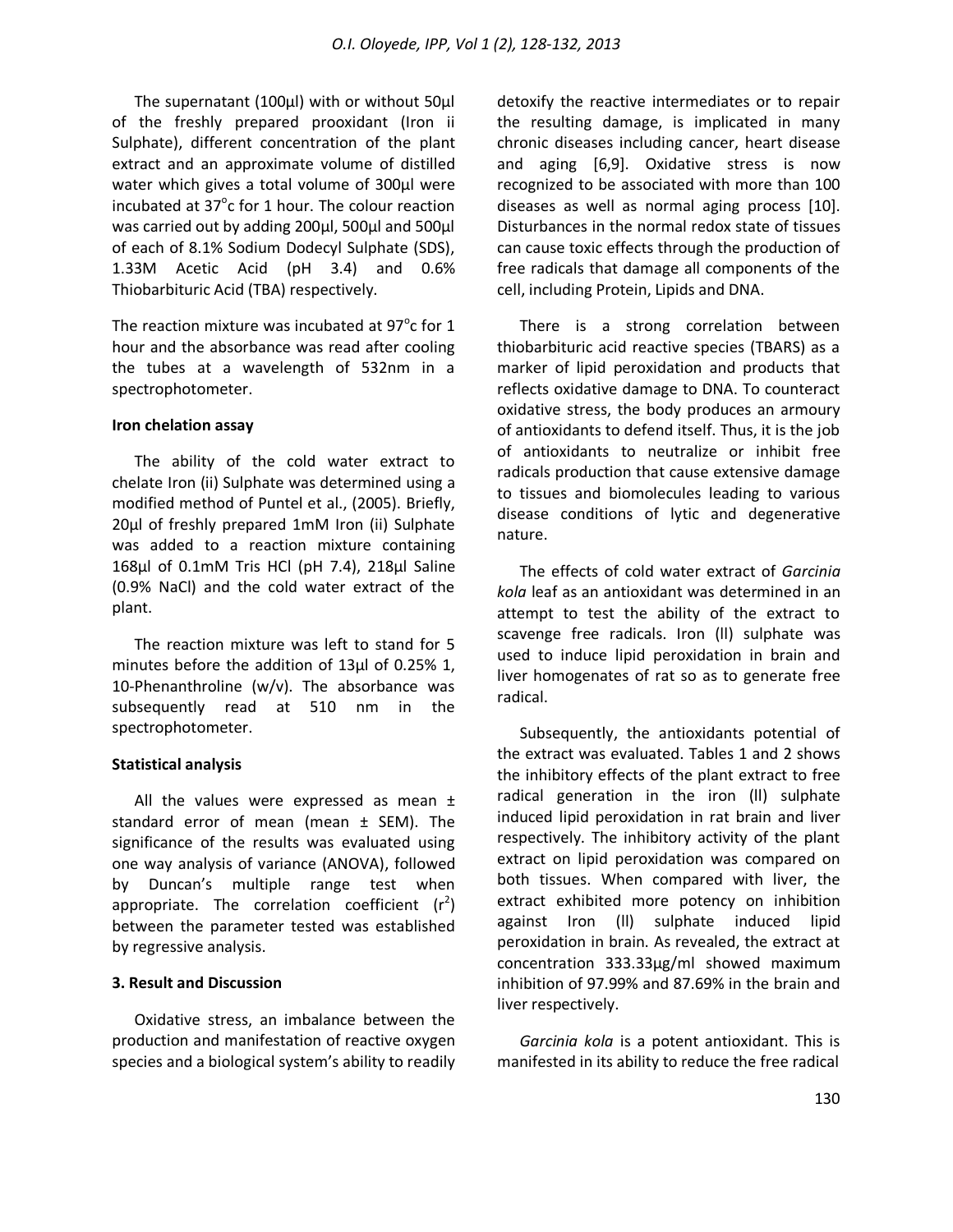The supernatant (100µl) with or without 50µl of the freshly prepared prooxidant (Iron ii Sulphate), different concentration of the plant extract and an approximate volume of distilled water which gives a total volume of 300µl were incubated at  $37^{\circ}$ c for 1 hour. The colour reaction was carried out by adding 200µl, 500µl and 500µl of each of 8.1% Sodium Dodecyl Sulphate (SDS), 1.33M Acetic Acid (pH 3.4) and 0.6% Thiobarbituric Acid (TBA) respectively.

The reaction mixture was incubated at  $97^{\circ}$ c for 1 hour and the absorbance was read after cooling the tubes at a wavelength of 532nm in a spectrophotometer.

#### **Iron chelation assay**

The ability of the cold water extract to chelate Iron (ii) Sulphate was determined using a modified method of Puntel et al., (2005). Briefly, 20µl of freshly prepared 1mM Iron (ii) Sulphate was added to a reaction mixture containing 168µl of 0.1mM Tris HCl (pH 7.4), 218µl Saline (0.9% NaCl) and the cold water extract of the plant.

The reaction mixture was left to stand for 5 minutes before the addition of 13µl of 0.25% 1, 10-Phenanthroline (w/v). The absorbance was subsequently read at 510 nm in the spectrophotometer.

#### **Statistical analysis**

All the values were expressed as mean  $\pm$ standard error of mean (mean  $\pm$  SEM). The significance of the results was evaluated using one way analysis of variance (ANOVA), followed by Duncan's multiple range test when appropriate. The correlation coefficient  $(r^2)$ between the parameter tested was established by regressive analysis.

#### **3. Result and Discussion**

Oxidative stress, an imbalance between the production and manifestation of reactive oxygen species and a biological system's ability to readily detoxify the reactive intermediates or to repair the resulting damage, is implicated in many chronic diseases including cancer, heart disease and aging [6,9]. Oxidative stress is now recognized to be associated with more than 100 diseases as well as normal aging process [10]. Disturbances in the normal redox state of tissues can cause toxic effects through the production of free radicals that damage all components of the cell, including Protein, Lipids and DNA.

There is a strong correlation between thiobarbituric acid reactive species (TBARS) as a marker of lipid peroxidation and products that reflects oxidative damage to DNA. To counteract oxidative stress, the body produces an armoury of antioxidants to defend itself. Thus, it is the job of antioxidants to neutralize or inhibit free radicals production that cause extensive damage to tissues and biomolecules leading to various disease conditions of lytic and degenerative nature.

The effects of cold water extract of *Garcinia kola* leaf as an antioxidant was determined in an attempt to test the ability of the extract to scavenge free radicals. Iron (ll) sulphate was used to induce lipid peroxidation in brain and liver homogenates of rat so as to generate free radical.

Subsequently, the antioxidants potential of the extract was evaluated. Tables 1 and 2 shows the inhibitory effects of the plant extract to free radical generation in the iron (ll) sulphate induced lipid peroxidation in rat brain and liver respectively. The inhibitory activity of the plant extract on lipid peroxidation was compared on both tissues. When compared with liver, the extract exhibited more potency on inhibition against Iron (ll) sulphate induced lipid peroxidation in brain. As revealed, the extract at concentration 333.33µg/ml showed maximum inhibition of 97.99% and 87.69% in the brain and liver respectively.

*Garcinia kola* is a potent antioxidant. This is manifested in its ability to reduce the free radical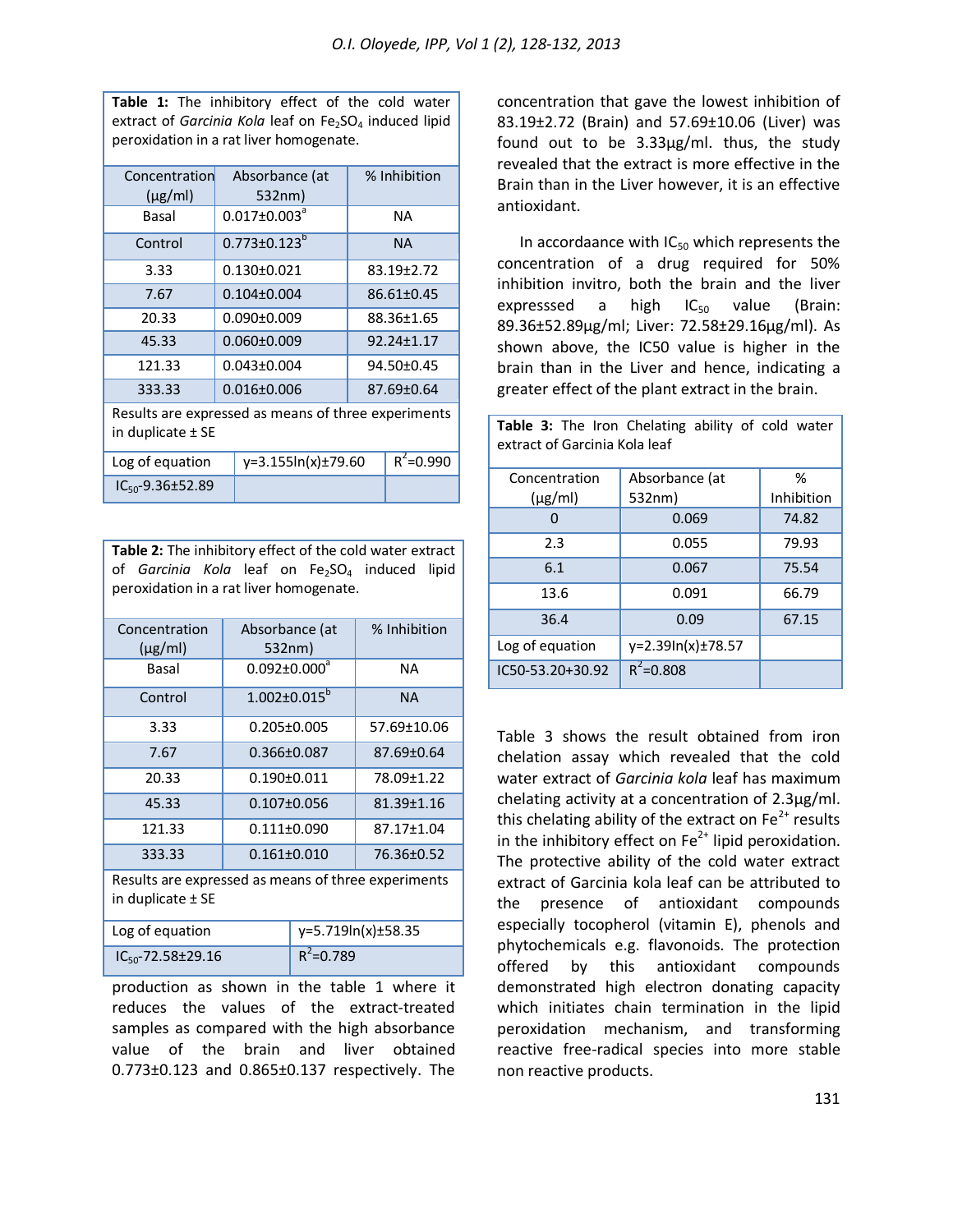**Table 1:** The inhibitory effect of the cold water extract of *Garcinia Kola* leaf on Fe<sub>2</sub>SO<sub>4</sub> induced lipid peroxidation in a rat liver homogenate.

| Concentration                                       | Absorbance (at                 |                   |                  | % Inhibition     |  |  |
|-----------------------------------------------------|--------------------------------|-------------------|------------------|------------------|--|--|
| $(\mu g/ml)$                                        |                                | 532nm)            |                  |                  |  |  |
| Basal                                               | $0.017 \pm 0.003^a$            |                   |                  | <b>NA</b>        |  |  |
| Control                                             | $0.773 \pm 0.123$ <sup>b</sup> |                   |                  | <b>NA</b>        |  |  |
| 3.33                                                |                                | $0.130 \pm 0.021$ |                  | 83.19±2.72       |  |  |
| 7.67                                                |                                | $0.104 \pm 0.004$ | $86.61 \pm 0.45$ |                  |  |  |
| 20.33                                               |                                | $0.090 \pm 0.009$ | 88.36±1.65       |                  |  |  |
| 45.33                                               | $0.060 \pm 0.009$              |                   |                  | $92.24 \pm 1.17$ |  |  |
| 121.33                                              | $0.043 \pm 0.004$              |                   |                  | 94.50±0.45       |  |  |
| 333.33                                              | $0.016 \pm 0.006$              |                   |                  | 87.69±0.64       |  |  |
| Results are expressed as means of three experiments |                                |                   |                  |                  |  |  |
| in duplicate ± SE                                   |                                |                   |                  |                  |  |  |
| $y=3.155ln(x) \pm 79.60$<br>Log of equation         |                                |                   | $R^2 = 0.990$    |                  |  |  |
| $IC_{50}$ -9.36±52.89                               |                                |                   |                  |                  |  |  |

**Table 2:** The inhibitory effect of the cold water extract of *Garcinia Kola* leaf on Fe<sub>2</sub>SO<sub>4</sub> induced lipid peroxidation in a rat liver homogenate.

| Concentration<br>$(\mu g/ml)$                                                | Absorbance (at<br>532nm) |                    | % Inhibition |  |  |  |
|------------------------------------------------------------------------------|--------------------------|--------------------|--------------|--|--|--|
| Basal                                                                        | $0.092 \pm 0.000^a$      |                    | NA           |  |  |  |
| Control                                                                      | $1.002 \pm 0.015^b$      |                    | <b>NA</b>    |  |  |  |
| 3.33                                                                         | $0.205 \pm 0.005$        |                    | 57.69±10.06  |  |  |  |
| 7.67                                                                         | 0.366±0.087              |                    | 87.69±0.64   |  |  |  |
| 20.33                                                                        | $0.190 \pm 0.011$        |                    | 78.09±1.22   |  |  |  |
| 45.33                                                                        | $0.107 \pm 0.056$        |                    | 81.39±1.16   |  |  |  |
| 121.33                                                                       | $0.111 \pm 0.090$        |                    | 87.17±1.04   |  |  |  |
| 333.33                                                                       | $0.161 \pm 0.010$        |                    | 76.36±0.52   |  |  |  |
| Results are expressed as means of three experiments<br>in duplicate $\pm$ SE |                          |                    |              |  |  |  |
| Log of equation                                                              |                          | y=5.719ln(x)±58.35 |              |  |  |  |
| $IC_{50}$ -72.58±29.16                                                       |                          | $R^2$ =0.789       |              |  |  |  |

production as shown in the table 1 where it reduces the values of the extract-treated samples as compared with the high absorbance value of the brain and liver obtained 0.773±0.123 and 0.865±0.137 respectively. The

concentration that gave the lowest inhibition of 83.19±2.72 (Brain) and 57.69±10.06 (Liver) was found out to be 3.33µg/ml. thus, the study revealed that the extract is more effective in the Brain than in the Liver however, it is an effective antioxidant.

In accordaance with  $IC_{50}$  which represents the concentration of a drug required for 50% inhibition invitro, both the brain and the liver expresssed a high  $IC_{50}$  value (Brain: 89.36±52.89µg/ml; Liver: 72.58±29.16µg/ml). As shown above, the IC50 value is higher in the brain than in the Liver and hence, indicating a greater effect of the plant extract in the brain.

Table 3: The Iron Chelating ability of cold water

| extract of Garcinia Kola leaf |                   |            |  |  |  |
|-------------------------------|-------------------|------------|--|--|--|
| Concentration                 | Absorbance (at    | %          |  |  |  |
| $(\mu g/ml)$                  | 532nm)            | Inhibition |  |  |  |
|                               | 0.069             | 74.82      |  |  |  |
| 2.3                           | 0.055             | 79.93      |  |  |  |
| 6.1                           | 0.067             | 75.54      |  |  |  |
| 13.6                          | 0.091             | 66.79      |  |  |  |
| 36.4                          | 0.09              | 67.15      |  |  |  |
| Log of equation               | y=2.39In(x)±78.57 |            |  |  |  |
| IC50-53.20+30.92              | $R^2 = 0.808$     |            |  |  |  |

Table 3 shows the result obtained from iron chelation assay which revealed that the cold water extract of *Garcinia kola* leaf has maximum chelating activity at a concentration of 2.3µg/ml. this chelating ability of the extract on  $Fe<sup>2+</sup>$  results in the inhibitory effect on  $Fe^{2+}$  lipid peroxidation. The protective ability of the cold water extract extract of Garcinia kola leaf can be attributed to the presence of antioxidant compounds especially tocopherol (vitamin E), phenols and phytochemicals e.g. flavonoids. The protection offered by this antioxidant compounds demonstrated high electron donating capacity which initiates chain termination in the lipid peroxidation mechanism, and transforming reactive free-radical species into more stable non reactive products.